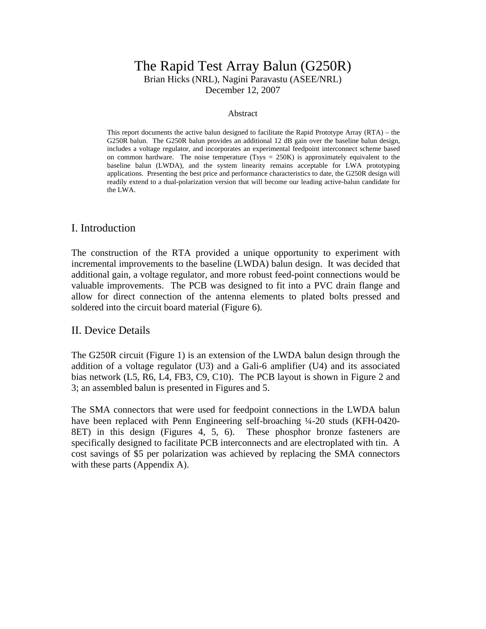### The Rapid Test Array Balun (G250R) Brian Hicks (NRL), Nagini Paravastu (ASEE/NRL) December 12, 2007

#### Abstract

This report documents the active balun designed to facilitate the Rapid Prototype Array (RTA) – the G250R balun. The G250R balun provides an additional 12 dB gain over the baseline balun design, includes a voltage regulator, and incorporates an experimental feedpoint interconnect scheme based on common hardware. The noise temperature (Tsys  $= 250K$ ) is approximately equivalent to the baseline balun (LWDA), and the system linearity remains acceptable for LWA prototyping applications. Presenting the best price and performance characteristics to date, the G250R design will readily extend to a dual-polarization version that will become our leading active-balun candidate for the LWA.

#### I. Introduction

The construction of the RTA provided a unique opportunity to experiment with incremental improvements to the baseline (LWDA) balun design. It was decided that additional gain, a voltage regulator, and more robust feed-point connections would be valuable improvements. The PCB was designed to fit into a PVC drain flange and allow for direct connection of the antenna elements to plated bolts pressed and soldered into the circuit board material (Figure 6).

#### II. Device Details

The G250R circuit (Figure 1) is an extension of the LWDA balun design through the addition of a voltage regulator (U3) and a Gali-6 amplifier (U4) and its associated bias network (L5, R6, L4, FB3, C9, C10). The PCB layout is shown in Figure 2 and 3; an assembled balun is presented in Figures and 5.

The SMA connectors that were used for feedpoint connections in the LWDA balun have been replaced with Penn Engineering self-broaching ¼-20 studs (KFH-0420- 8ET) in this design (Figures 4, 5, 6). These phosphor bronze fasteners are specifically designed to facilitate PCB interconnects and are electroplated with tin. A cost savings of \$5 per polarization was achieved by replacing the SMA connectors with these parts (Appendix A).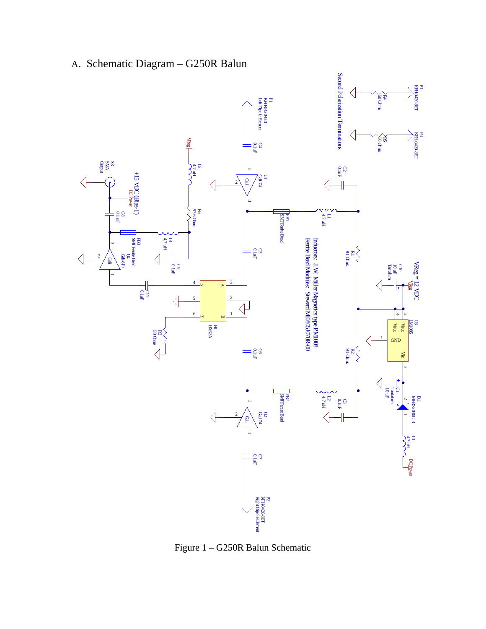

# A. Schematic Diagram – G250R Balun

Figure 1 – G250R Balun Schematic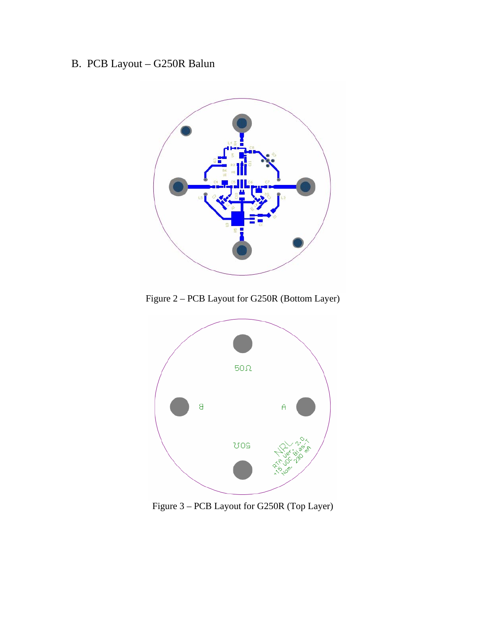# B. PCB Layout – G250R Balun



Figure 2 – PCB Layout for G250R (Bottom Layer)



Figure 3 – PCB Layout for G250R (Top Layer)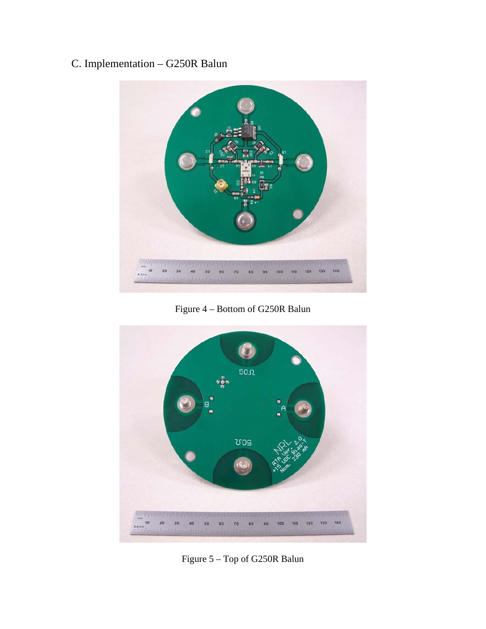# C. Implementation – G250R Balun



Figure 4 – Bottom of G250R Balun



Figure 5 – Top of G250R Balun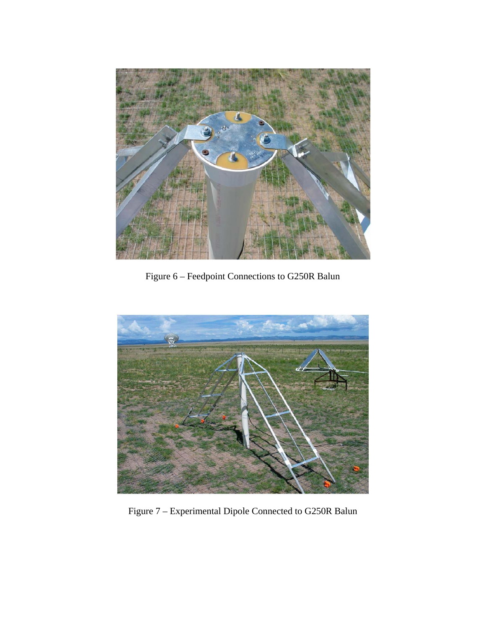

Figure 6 – Feedpoint Connections to G250R Balun



Figure 7 – Experimental Dipole Connected to G250R Balun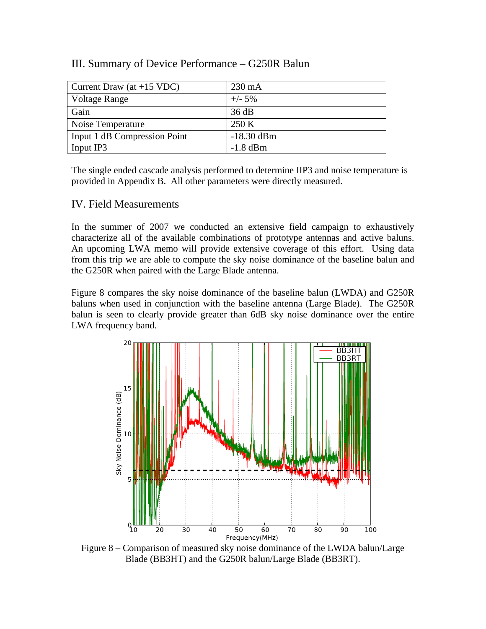#### III. Summary of Device Performance – G250R Balun

| Current Draw (at $+15$ VDC)  | $230 \text{ mA}$ |
|------------------------------|------------------|
| Voltage Range                | $+/- 5\%$        |
| Gain                         | 36 dB            |
| Noise Temperature            | 250 K            |
| Input 1 dB Compression Point | $-18.30$ dBm     |
| Input IP3                    | $-1.8$ dBm       |

The single ended cascade analysis performed to determine IIP3 and noise temperature is provided in Appendix B. All other parameters were directly measured.

#### IV. Field Measurements

In the summer of 2007 we conducted an extensive field campaign to exhaustively characterize all of the available combinations of prototype antennas and active baluns. An upcoming LWA memo will provide extensive coverage of this effort. Using data from this trip we are able to compute the sky noise dominance of the baseline balun and the G250R when paired with the Large Blade antenna.

Figure 8 compares the sky noise dominance of the baseline balun (LWDA) and G250R baluns when used in conjunction with the baseline antenna (Large Blade). The G250R balun is seen to clearly provide greater than 6dB sky noise dominance over the entire LWA frequency band.



Figure 8 – Comparison of measured sky noise dominance of the LWDA balun/Large Blade (BB3HT) and the G250R balun/Large Blade (BB3RT).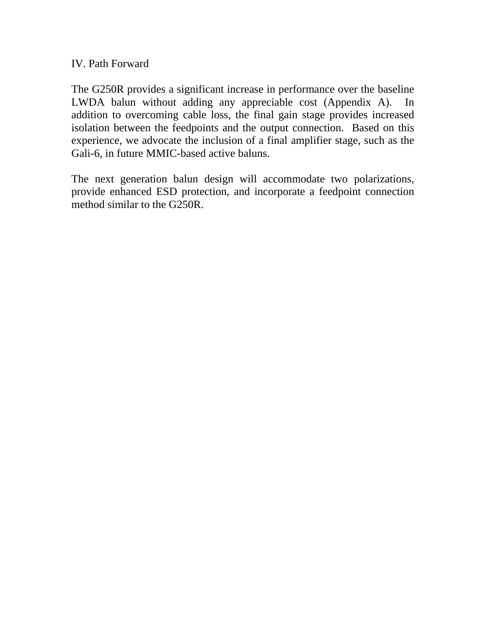### IV. Path Forward

The G250R provides a significant increase in performance over the baseline LWDA balun without adding any appreciable cost (Appendix A). In addition to overcoming cable loss, the final gain stage provides increased isolation between the feedpoints and the output connection. Based on this experience, we advocate the inclusion of a final amplifier stage, such as the Gali-6, in future MMIC-based active baluns.

The next generation balun design will accommodate two polarizations, provide enhanced ESD protection, and incorporate a feedpoint connection method similar to the G250R.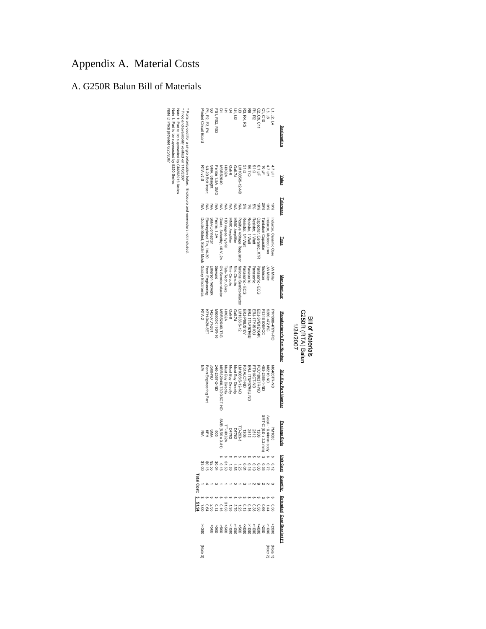# Appendix A. Material Costs

### A. G250R Balun Bill of Materials

| * Parts only cost for a single polarization balun. Enclosure and connectors not included<br>Note 3: Price provided 6/25/2007<br>Note 1: Part to be superseded by 9250 Series<br>Note 1: Part to be superseded by CM252016 Series<br>Price and availability verified on 11/6/2007 |            | Printed Circuit Board                        | P1, P2, P3, P4            |                 | FB1, FB2, FB3    |                           | Ξ                 | 2                 | U1, U2            | 25                         | R3, R4, R5                 |                  | R1. R2           | C2.C9, C11              | C1, C10              | 13,15                  | L1, L2, L4             | Designation                |
|----------------------------------------------------------------------------------------------------------------------------------------------------------------------------------------------------------------------------------------------------------------------------------|------------|----------------------------------------------|---------------------------|-----------------|------------------|---------------------------|-------------------|-------------------|-------------------|----------------------------|----------------------------|------------------|------------------|-------------------------|----------------------|------------------------|------------------------|----------------------------|
|                                                                                                                                                                                                                                                                                  |            | <b>RTA v2.0</b>                              | I/4-20 Bolt Insert        | SMA, Straight   | errite 1.5A, SMD | <b>IBRS2040</b>           | <b>AS2A</b>       | Gali-6            | Gali-74           | TW108518-12-ND             | 51 9                       | U Z 96           |                  | ន<br>ខុំរី<br>ខុំ ដូ    |                      | 4.7 uH                 | 4.7 µH                 | Value                      |
|                                                                                                                                                                                                                                                                                  |            |                                              |                           |                 |                  |                           |                   | ξ                 |                   | ξ                          | %G                         | 361              | %S               | 5<br>Se                 | 20%                  |                        | $10\%$                 | Tolerance                  |
|                                                                                                                                                                                                                                                                                  |            | Double Sided, Solder Mask Galaxy Electronics | Electroplated Tin, 1/4-20 | SMA Connector   | Ferrite, 1.5A    | Diode, Schottky, 40 V, 2A | 180 degree hybrid | MMIC Amplifier    | MMIC Amplifier    | Positive Voltage Regulator | Resistor, 1/4 Watt         | Resistor, 1 Watt | Resistor, 1 Watt | Capacitor, Ceramic, X7R | antalum Capacito     | Inductor, Molded, Iron | Inductor, Ceramic Core | <u>Pee</u>                 |
|                                                                                                                                                                                                                                                                                  |            |                                              | Penn Engineering          | Emerson Networl | Steward          | ON Semiconductor          | fele-Tech, Corp.  | Mini-Circuits     | Mini-Circuits     | National Semiconductor     | Panasonic - ECG            | Panasonic        | Panasonic        | Panasonic - ECG         | <b>Nichicon</b>      | JVV Miller             | <b>JW Miller</b>       | <b>Manufacturer</b>        |
|                                                                                                                                                                                                                                                                                  |            | RTA-2                                        | KFH-0420-8ET              | 142-0701-201    | MI0805K110R-10   | NBRS2040LT3G              | HX62A             | Gali-6            | Gali-74           | LM1085IS-12                | ERJ-P08J510V               | ERJ-1TNF97R6U    | ERJ-1TYJ910L     | ECJ-3VB1E104K           | F931E106MCC          | 9250-472-RC            | PM1008-4R7K-RC         | Manufacturer's Part Number |
|                                                                                                                                                                                                                                                                                  |            |                                              | Penn Engineering Part     | <b>DS00-ND</b>  | 240-2387-2-ND    | /IBRS2040LT3GOSCT-ND      | Must Buy Directly | Must Buy Directly | Must Buy Directly | LM1085IS-12-ND             | P51ALCT-ND                 | ERI-11NF97R6C-ND | PT91XCT-ND       | PCC1883TR-ND            | 493-2388-1-ND        | UN-6128V               | M8483TR-ND             | Digi-Key Part Number       |
|                                                                                                                                                                                                                                                                                  |            |                                              |                           | AMS             | 908              | SMB (5.59 x 3.81)         | LT-HX62A          | DF782             | DF782             | TO-263-3                   | 90Z1                       | 2512             | 2512             | 3021                    | SMT-C (6.0 x 3.2 mm) | Axial - 10.44mm body   | <b>PM1008</b>          | Package Style              |
|                                                                                                                                                                                                                                                                                  |            |                                              |                           |                 |                  |                           |                   |                   |                   |                            |                            |                  |                  |                         |                      | <b>s</b>               |                        | ١S<br>it Cost              |
|                                                                                                                                                                                                                                                                                  |            |                                              |                           |                 |                  |                           |                   |                   |                   |                            |                            |                  |                  |                         |                      |                        |                        |                            |
|                                                                                                                                                                                                                                                                                  | Fotal Cost |                                              |                           |                 |                  |                           |                   |                   |                   |                            | $\omega = \omega - \omega$ |                  |                  |                         |                      |                        |                        | Quantity                   |
|                                                                                                                                                                                                                                                                                  |            |                                              |                           |                 |                  |                           |                   |                   |                   |                            |                            |                  |                  |                         |                      |                        |                        |                            |
|                                                                                                                                                                                                                                                                                  |            | 300 <sup>c</sup>                             |                           |                 |                  |                           |                   |                   |                   |                            |                            |                  |                  |                         |                      |                        | 000 <sub>6</sub>       | Extended Cost Bracket (    |
|                                                                                                                                                                                                                                                                                  |            | (Note 3)                                     |                           |                 |                  |                           |                   |                   |                   |                            |                            |                  |                  |                         |                      | (Note 1<br>(Note 2     |                        |                            |

Bill of Materials<br>G250R (RTA) Balun<br>1/24/2007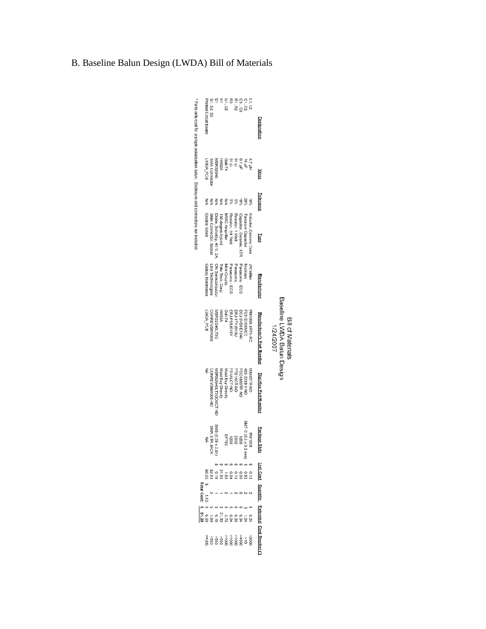|                                              | <b>Printed Circuit board</b> | S1. S2. S3                       |                           |                          | U1, U2                |                       | R1, R2           |                     | ក្នុង<br>ភូមិ<br>ភូមិ              |                        | Designation                  |                                                              |
|----------------------------------------------|------------------------------|----------------------------------|---------------------------|--------------------------|-----------------------|-----------------------|------------------|---------------------|------------------------------------|------------------------|------------------------------|--------------------------------------------------------------|
|                                              | WDA_PCB                      | MA Connector                     | /BRS2040                  |                          |                       |                       |                  |                     | 41<br>1989<br>1989<br>1989<br>1989 |                        | Value                        |                                                              |
|                                              | ΚW                           |                                  | ₹                         | ₹                        |                       | <b>⋛ 양양</b>           |                  | 50%                 | 20%                                | ie%                    | Tolerance                    |                                                              |
|                                              | Double Sided                 | SMA Connector, Socket            | Diode, Schottky, 40 V, 2A | 180 degree hybrid        | <b>IMIC Amplifier</b> | Resistor, 1/4 Watt    | Resistor, 1 Watt | Capacitor, Ceramic, | Fantalum Capacitor                 | Inductor, Ceramic Core | Iype                         |                                                              |
|                                              | Salaxy Electronic            | Linx Technologies                | <b>DN Semiconducto</b>    | Fele-Tech, Corp.         | Mini-Circuits         | Panasonic - ECG       | Panasonic        | Panasonic - ECC     | <b>Nichiaon</b>                    | W Mille                | Manufacture                  |                                                              |
|                                              | LWDA_PCB                     | ONREVSMA008                      | /BRS2040LT3G              | HX62A                    | Gali-74               | ERJ-P08J510V          | ERJ-1TYJ910U     | ECJ-3VB1E104K       | F931E106MCC                        | PM1008-4R7K-R          | Manufacturer's Part Number   | Baseline LVDA Balun Design<br>Bill of Materials<br>1/24/2007 |
|                                              | ξ                            | ON REVSMAGG-ND                   | IBRS2040LT3GOSCT-ND       | <b>Aust Buy Directly</b> | Aust Buy Directly     | P51ALCT-ND            | PT91XCT-ND       | PC1883TR-ND         | 493-2388-1-ND                      | M8483TR-ND             | Digi-Key Part Numbe          |                                                              |
|                                              | ξ                            | MB (5.59 x 3.81)<br>SMA STR JACK | 85.33 BMS                 |                          |                       | 1202<br>1208<br>DF782 |                  |                     | SMT-C (6.0)                        | <b>PN17</b>            | Package<br><b>Style</b>      |                                                              |
|                                              |                              | 000003388888888888               |                           |                          |                       |                       |                  |                     |                                    |                        | Jnit Cost                    |                                                              |
| <b>Total Cost:</b>                           |                              |                                  |                           |                          |                       |                       |                  |                     |                                    |                        | Quantity                     |                                                              |
|                                              |                              |                                  |                           |                          |                       |                       |                  |                     |                                    |                        |                              |                                                              |
| 0 1 1 2 3 3 4 5 6 7<br>2 3 4 5 6 7 6 7 6 7 8 |                              |                                  |                           |                          |                       |                       |                  |                     |                                    |                        |                              |                                                              |
|                                              |                              |                                  |                           |                          |                       |                       |                  |                     |                                    |                        | <b>Extended Cost Bracket</b> |                                                              |

# B. Baseline Balun Design (LWDA) Bill of Materials

\* Parts only cost for a single polarization balun. Enclosure and connectors not included.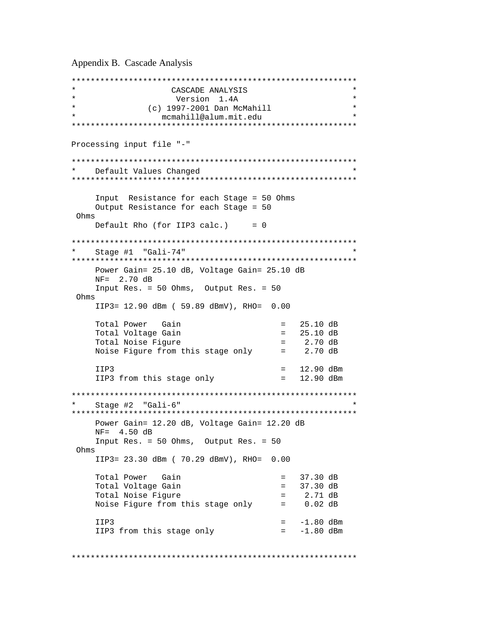Appendix B. Cascade Analysis

```
************************************************************ 
                   CASCADE ANALYSIS
                    Version 1.4A
               (c) 1997-2001 Dan McMahill
                 mcmahill@alum.mit.edu
************************************************************ 
Processing input file "-" 
************************************************************ 
   Default Values Changed
************************************************************ 
     Input Resistance for each Stage = 50 Ohms 
     Output Resistance for each Stage = 50 
 Ohms 
    Default Rho (for IIP3 calc.) = 0************************************************************ 
   Stage #1 "Gali-74"
************************************************************ 
     Power Gain= 25.10 dB, Voltage Gain= 25.10 dB 
     NF= 2.70 dB 
     Input Res. = 50 Ohms, Output Res. = 50 
 Ohms 
     IIP3= 12.90 dBm ( 59.89 dBmV), RHO= 0.00 
    Total Power Gain = 25.10 dB
    Total Voltage Gain = 25.10 dB
    Total Noise Figure = 2.70 dB<br>Noise Figure from this stage only = 2.70 dB
    Noise Figure from this stage only
    IIP3 = 12.90 dBm
     IIP3 from this stage only = 12.90 dBm 
************************************************************ 
   Stage #2 "Gali-6"
************************************************************ 
     Power Gain= 12.20 dB, Voltage Gain= 12.20 dB 
     NF= 4.50 dB 
     Input Res. = 50 Ohms, Output Res. = 50 
 Ohms 
     IIP3= 23.30 dBm ( 70.29 dBmV), RHO= 0.00 
    Total Power Gain = 37.30 dB<br>Total Voltage Gain = 37.30 dB
    Total Voltage Gain<br>
Total Noise Figure<br>
= 2.71 dB
    Total Noise Figure = 2.71 = 2.71 dB
    Noise Figure from this stage only = 0.02 dB
    IIP3 = -1.80 dBm<br>IIP3 from this stage only = -1.80 dBm
    IIP3 from this stage only
************************************************************
```